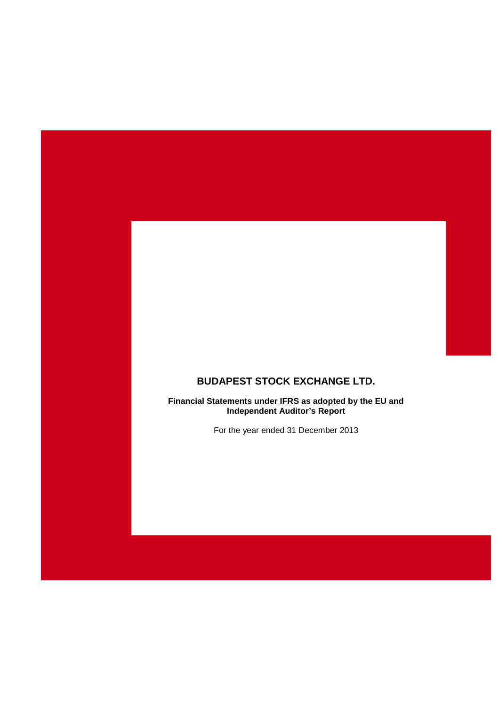# **BUDAPEST STOCK EXCHANGE LTD.**

**Financial Statements under IFRS as adopted by the EU and Independent Auditor's Report**

For the year ended 31 December 2013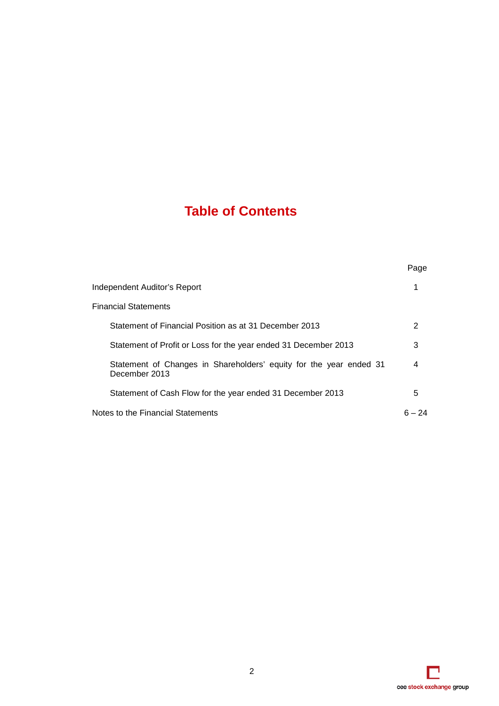# **Table of Contents**

|                                                                                     | Page   |
|-------------------------------------------------------------------------------------|--------|
| Independent Auditor's Report                                                        |        |
| <b>Financial Statements</b>                                                         |        |
| Statement of Financial Position as at 31 December 2013                              | 2      |
| Statement of Profit or Loss for the year ended 31 December 2013                     | 3      |
| Statement of Changes in Shareholders' equity for the year ended 31<br>December 2013 | 4      |
| Statement of Cash Flow for the year ended 31 December 2013                          | 5      |
| Notes to the Financial Statements                                                   | ճ – 24 |

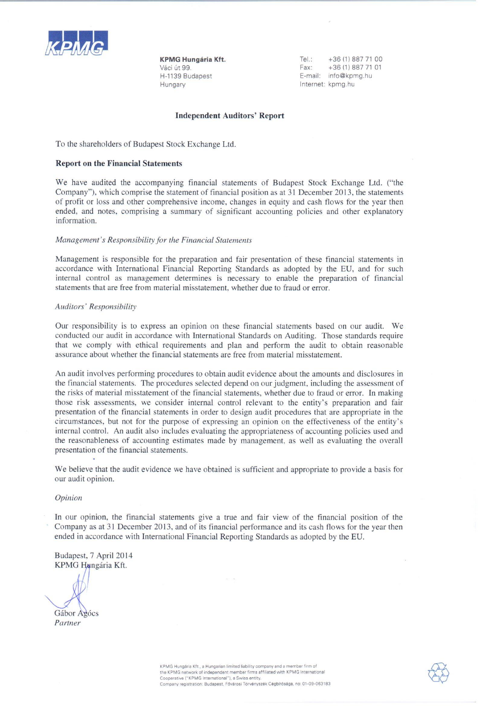

**KPMG Hungária Kft.** Váci út 99 H-1139 Budapest Hungary

Tel.: +36 (1) 887 71 00  $+36(1)8877101$ Fax: E-mail: info@kpmg.hu Internet: kpmg.hu

#### **Independent Auditors' Report**

To the shareholders of Budapest Stock Exchange Ltd.

#### **Report on the Financial Statements**

We have audited the accompanying financial statements of Budapest Stock Exchange Ltd. ("the Company"), which comprise the statement of financial position as at 31 December 2013, the statements of profit or loss and other comprehensive income, changes in equity and cash flows for the year then ended, and notes, comprising a summary of significant accounting policies and other explanatory information.

#### Management's Responsibility for the Financial Statements

Management is responsible for the preparation and fair presentation of these financial statements in accordance with International Financial Reporting Standards as adopted by the EU, and for such internal control as management determines is necessary to enable the preparation of financial statements that are free from material misstatement, whether due to fraud or error.

#### Auditors' Responsibility

Our responsibility is to express an opinion on these financial statements based on our audit. We conducted our audit in accordance with International Standards on Auditing. Those standards require that we comply with ethical requirements and plan and perform the audit to obtain reasonable assurance about whether the financial statements are free from material misstatement.

An audit involves performing procedures to obtain audit evidence about the amounts and disclosures in the financial statements. The procedures selected depend on our judgment, including the assessment of the risks of material misstatement of the financial statements, whether due to fraud or error. In making those risk assessments, we consider internal control relevant to the entity's preparation and fair presentation of the financial statements in order to design audit procedures that are appropriate in the circumstances, but not for the purpose of expressing an opinion on the effectiveness of the entity's internal control. An audit also includes evaluating the appropriateness of accounting policies used and the reasonableness of accounting estimates made by management, as well as evaluating the overall presentation of the financial statements.

We believe that the audit evidence we have obtained is sufficient and appropriate to provide a basis for our audit opinion.

#### Opinion

In our opinion, the financial statements give a true and fair view of the financial position of the Company as at 31 December 2013, and of its financial performance and its cash flows for the year then ended in accordance with International Financial Reporting Standards as adopted by the EU.

Budapest, 7 April 2014 KPMG Hungária Kft.

Gábor Agócs Partner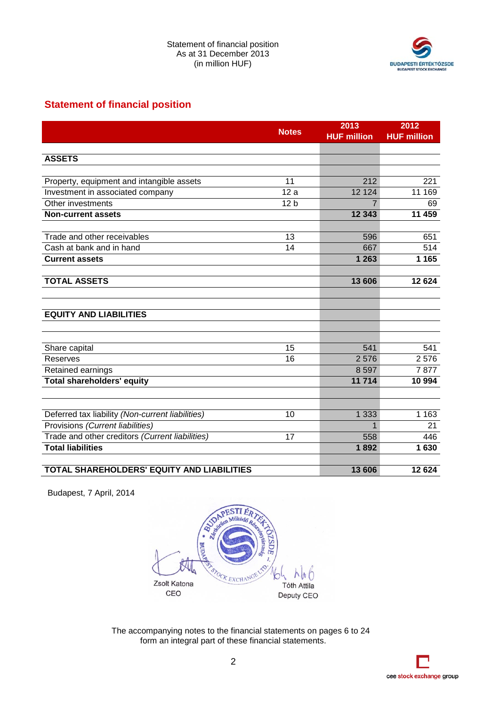

# **Statement of financial position**

|                                                   | <b>Notes</b>    | 2013               | 2012               |
|---------------------------------------------------|-----------------|--------------------|--------------------|
|                                                   |                 | <b>HUF million</b> | <b>HUF million</b> |
|                                                   |                 |                    |                    |
| <b>ASSETS</b>                                     |                 |                    |                    |
|                                                   |                 |                    |                    |
| Property, equipment and intangible assets         | 11              | 212                | 221                |
| Investment in associated company                  | 12a             | 12 1 24            | 11 169             |
| Other investments                                 | 12 <sub>b</sub> | 7                  | 69                 |
| <b>Non-current assets</b>                         |                 | 12 3 4 3           | 11 459             |
|                                                   |                 |                    |                    |
| Trade and other receivables                       | 13              | 596                | 651                |
| Cash at bank and in hand                          | 14              | 667                | 514                |
| <b>Current assets</b>                             |                 | 1 2 6 3            | 1 1 6 5            |
|                                                   |                 |                    |                    |
| <b>TOTAL ASSETS</b>                               |                 | 13 606             | 12 6 24            |
|                                                   |                 |                    |                    |
|                                                   |                 |                    |                    |
| <b>EQUITY AND LIABILITIES</b>                     |                 |                    |                    |
|                                                   |                 |                    |                    |
|                                                   |                 |                    |                    |
| Share capital                                     | 15              | 541                | 541                |
| Reserves                                          | 16              | 2576               | 2576               |
| Retained earnings                                 |                 | 8597               | 7877               |
| <b>Total shareholders' equity</b>                 |                 | 11714              | 10 994             |
|                                                   |                 |                    |                    |
|                                                   |                 |                    |                    |
| Deferred tax liability (Non-current liabilities)  | 10              | 1 3 3 3            | 1 1 6 3            |
| Provisions (Current liabilities)                  |                 | 1                  | 21                 |
| Trade and other creditors (Current liabilities)   | 17              | 558                | 446                |
| <b>Total liabilities</b>                          |                 | 1892               | 1630               |
|                                                   |                 |                    |                    |
| <b>TOTAL SHAREHOLDERS' EQUITY AND LIABILITIES</b> |                 | 13 606             | 12 6 24            |

Budapest, 7 April, 2014



The accompanying notes to the financial statements on pages 6 to 24 form an integral part of these financial statements.

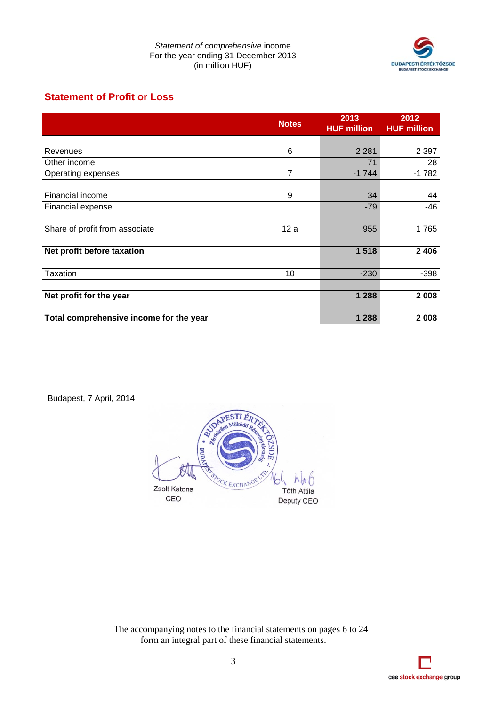

# **Statement of Profit or Loss**

|                                         | <b>Notes</b> | 2013<br><b>HUF million</b> | 2012<br><b>HUF million</b> |
|-----------------------------------------|--------------|----------------------------|----------------------------|
|                                         |              |                            |                            |
| Revenues                                | 6            | 2 2 8 1                    | 2 3 9 7                    |
| Other income                            |              | 71                         | 28                         |
| Operating expenses                      | 7            | $-1744$                    | $-1782$                    |
|                                         |              |                            |                            |
| Financial income                        | 9            | 34                         | 44                         |
| Financial expense                       |              | $-79$                      | $-46$                      |
|                                         |              |                            |                            |
| Share of profit from associate          | 12a          | 955                        | 1765                       |
|                                         |              |                            |                            |
| Net profit before taxation              |              | 1518                       | 2 4 0 6                    |
|                                         |              |                            |                            |
| Taxation                                | 10           | $-230$                     | $-398$                     |
|                                         |              |                            |                            |
| Net profit for the year                 |              | 1 2 8 8                    | 2 0 0 8                    |
|                                         |              |                            |                            |
| Total comprehensive income for the year |              | 1 2 8 8                    | 2 0 0 8                    |

Budapest, 7 April, 2014



The accompanying notes to the financial statements on pages 6 to 24 form an integral part of these financial statements.

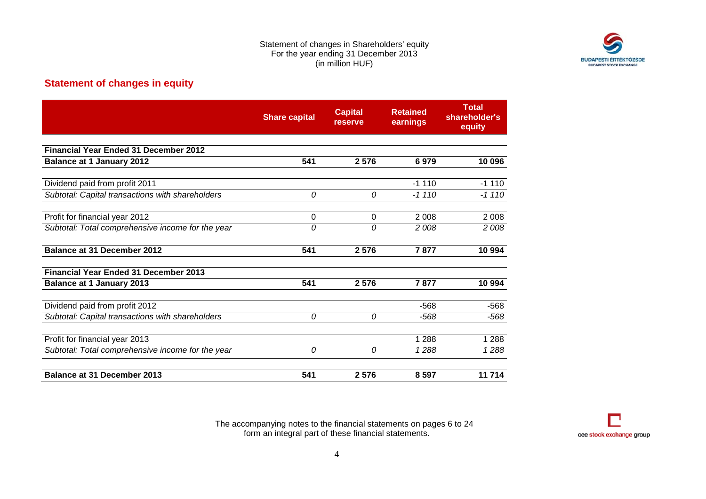#### Statement of changes in Shareholders' equity For the year ending 31 December 2013 (in million HUF)



# **Statement of changes in equity**

|                                                   | <b>Share capital</b> | <b>Capital</b><br>reserve | <b>Retained</b><br>earnings | <b>Total</b><br>shareholder's<br>equity |
|---------------------------------------------------|----------------------|---------------------------|-----------------------------|-----------------------------------------|
| <b>Financial Year Ended 31 December 2012</b>      |                      |                           |                             |                                         |
| <b>Balance at 1 January 2012</b>                  | 541                  | 2576                      | 6979                        | 10 096                                  |
|                                                   |                      |                           |                             |                                         |
| Dividend paid from profit 2011                    |                      |                           | $-1110$                     | $-1110$                                 |
| Subtotal: Capital transactions with shareholders  | 0                    | 0                         | $-1110$                     | $-1110$                                 |
| Profit for financial year 2012                    | 0                    | 0                         | 2 0 0 8                     | 2 0 0 8                                 |
| Subtotal: Total comprehensive income for the year | $\Omega$             | 0                         | 2 008                       | 2 008                                   |
| <b>Balance at 31 December 2012</b>                | 541                  | 2576                      | 7877                        | 10 994                                  |
| <b>Financial Year Ended 31 December 2013</b>      |                      |                           |                             |                                         |
| <b>Balance at 1 January 2013</b>                  | 541                  | 2576                      | 7877                        | 10 994                                  |
| Dividend paid from profit 2012                    |                      |                           | $-568$                      | $-568$                                  |
| Subtotal: Capital transactions with shareholders  | 0                    | 0                         | $-568$                      | $-568$                                  |
| Profit for financial year 2013                    |                      |                           | 1 2 8 8                     | 1 2 8 8                                 |
| Subtotal: Total comprehensive income for the year | 0                    | 0                         | 1 2 8 8                     | 1288                                    |
| <b>Balance at 31 December 2013</b>                | 541                  | 2576                      | 8597                        | 11714                                   |

The accompanying notes to the financial statements on pages 6 to 24 form an integral part of these financial statements.

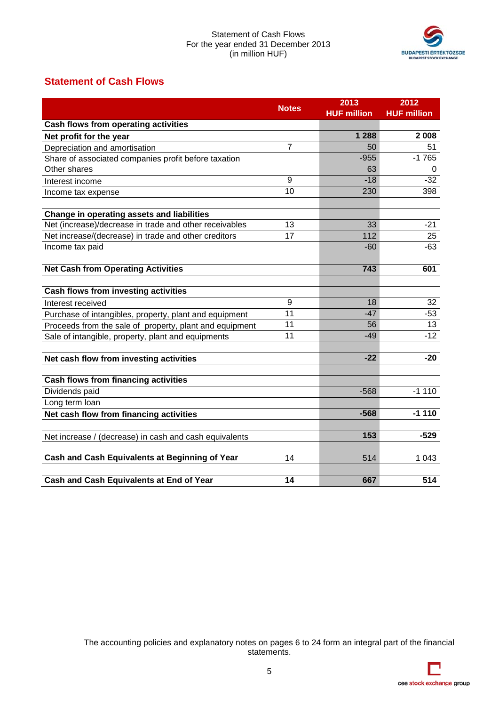#### Statement of Cash Flows For the year ended 31 December 2013 (in million HUF)



# **Statement of Cash Flows**

|                                                         | <b>Notes</b>   |                    | 2013               | 2012 |
|---------------------------------------------------------|----------------|--------------------|--------------------|------|
|                                                         |                | <b>HUF million</b> | <b>HUF million</b> |      |
| Cash flows from operating activities                    |                |                    |                    |      |
| Net profit for the year                                 |                | 1 2 8 8            | 2 0 0 8            |      |
| Depreciation and amortisation                           | $\overline{7}$ | 50                 | 51                 |      |
| Share of associated companies profit before taxation    |                | $-955$             | $-1765$            |      |
| Other shares                                            |                | 63                 | 0                  |      |
| Interest income                                         | 9              | $-18$              | $-32$              |      |
| Income tax expense                                      | 10             | 230                | 398                |      |
| Change in operating assets and liabilities              |                |                    |                    |      |
| Net (increase)/decrease in trade and other receivables  | 13             | 33                 | $-21$              |      |
| Net increase/(decrease) in trade and other creditors    | 17             | 112                | 25                 |      |
| Income tax paid                                         |                | $-60$              | $-63$              |      |
| <b>Net Cash from Operating Activities</b>               |                | 743                | 601                |      |
| Cash flows from investing activities                    |                |                    |                    |      |
| Interest received                                       | 9              | 18                 | 32                 |      |
| Purchase of intangibles, property, plant and equipment  | 11             | $-47$              | $-53$              |      |
| Proceeds from the sale of property, plant and equipment | 11             | 56                 | 13                 |      |
| Sale of intangible, property, plant and equipments      | 11             | $-49$              | $-12$              |      |
| Net cash flow from investing activities                 |                | $-22$              | $-20$              |      |
| <b>Cash flows from financing activities</b>             |                |                    |                    |      |
| Dividends paid                                          |                | $-568$             | $-1110$            |      |
| Long term loan                                          |                |                    |                    |      |
| Net cash flow from financing activities                 |                | $-568$             | $-1110$            |      |
| Net increase / (decrease) in cash and cash equivalents  |                | 153                | $-529$             |      |
| Cash and Cash Equivalents at Beginning of Year          | 14             | 514                | 1 0 4 3            |      |
| Cash and Cash Equivalents at End of Year                | 14             | 667                | $\overline{514}$   |      |

The accounting policies and explanatory notes on pages 6 to 24 form an integral part of the financial statements.

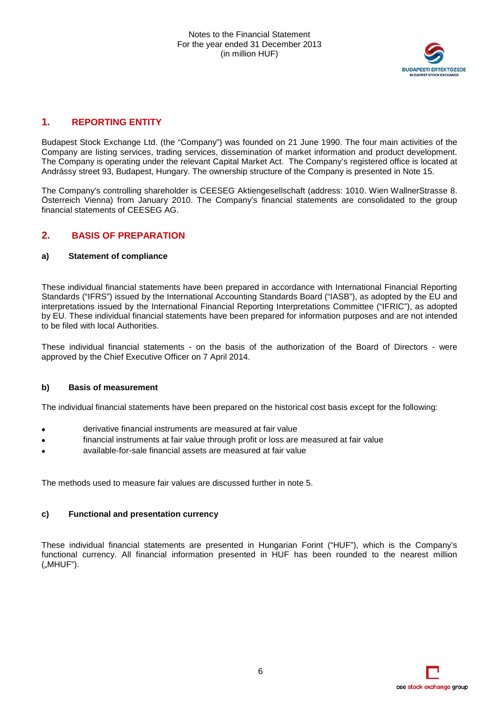

### **1. REPORTING ENTITY**

Budapest Stock Exchange Ltd. (the "Company") was founded on 21 June 1990. The four main activities of the Company are listing services, trading services, dissemination of market information and product development. The Company is operating under the relevant Capital Market Act. The Company's registered office is located at Andrássy street 93, Budapest, Hungary. The ownership structure of the Company is presented in Note 15.

The Company's controlling shareholder is CEESEG Aktiengesellschaft (address: 1010. Wien WallnerStrasse 8. Österreich Vienna) from January 2010. The Company's financial statements are consolidated to the group financial statements of CEESEG AG.

### **2. BASIS OF PREPARATION**

#### **a) Statement of compliance**

These individual financial statements have been prepared in accordance with International Financial Reporting Standards ("IFRS") issued by the International Accounting Standards Board ("IASB"), as adopted by the EU and interpretations issued by the International Financial Reporting Interpretations Committee ("IFRIC"), as adopted by EU. These individual financial statements have been prepared for information purposes and are not intended to be filed with local Authorities.

These individual financial statements - on the basis of the authorization of the Board of Directors - were approved by the Chief Executive Officer on 7 April 2014.

#### **b) Basis of measurement**

The individual financial statements have been prepared on the historical cost basis except for the following:

- derivative financial instruments are measured at fair value
- financial instruments at fair value through profit or loss are measured at fair value
- available-for-sale financial assets are measured at fair value

The methods used to measure fair values are discussed further in note 5.

#### **c) Functional and presentation currency**

These individual financial statements are presented in Hungarian Forint ("HUF"), which is the Company's functional currency. All financial information presented in HUF has been rounded to the nearest million ("MHUF").

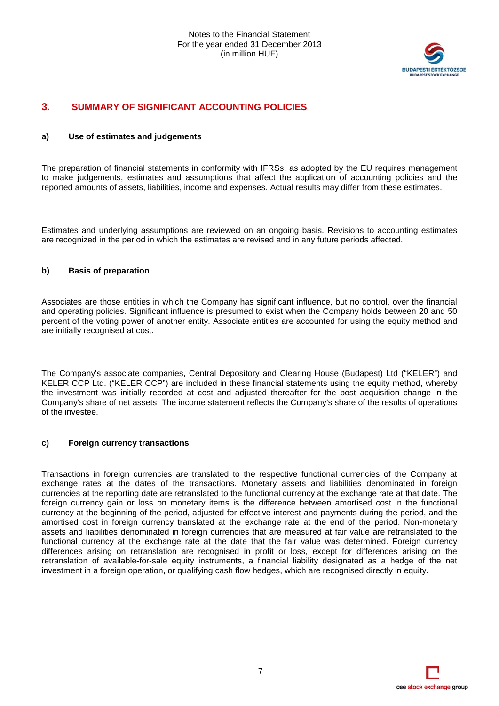

## **3. SUMMARY OF SIGNIFICANT ACCOUNTING POLICIES**

#### **a) Use of estimates and judgements**

The preparation of financial statements in conformity with IFRSs, as adopted by the EU requires management to make judgements, estimates and assumptions that affect the application of accounting policies and the reported amounts of assets, liabilities, income and expenses. Actual results may differ from these estimates.

Estimates and underlying assumptions are reviewed on an ongoing basis. Revisions to accounting estimates are recognized in the period in which the estimates are revised and in any future periods affected.

#### **b) Basis of preparation**

Associates are those entities in which the Company has significant influence, but no control, over the financial and operating policies. Significant influence is presumed to exist when the Company holds between 20 and 50 percent of the voting power of another entity. Associate entities are accounted for using the equity method and are initially recognised at cost.

The Company's associate companies, Central Depository and Clearing House (Budapest) Ltd ("KELER") and KELER CCP Ltd. ("KELER CCP") are included in these financial statements using the equity method, whereby the investment was initially recorded at cost and adjusted thereafter for the post acquisition change in the Company's share of net assets. The income statement reflects the Company's share of the results of operations of the investee.

#### **c) Foreign currency transactions**

Transactions in foreign currencies are translated to the respective functional currencies of the Company at exchange rates at the dates of the transactions. Monetary assets and liabilities denominated in foreign currencies at the reporting date are retranslated to the functional currency at the exchange rate at that date. The foreign currency gain or loss on monetary items is the difference between amortised cost in the functional currency at the beginning of the period, adjusted for effective interest and payments during the period, and the amortised cost in foreign currency translated at the exchange rate at the end of the period. Non-monetary assets and liabilities denominated in foreign currencies that are measured at fair value are retranslated to the functional currency at the exchange rate at the date that the fair value was determined. Foreign currency differences arising on retranslation are recognised in profit or loss, except for differences arising on the retranslation of available-for-sale equity instruments, a financial liability designated as a hedge of the net investment in a foreign operation, or qualifying cash flow hedges, which are recognised directly in equity.

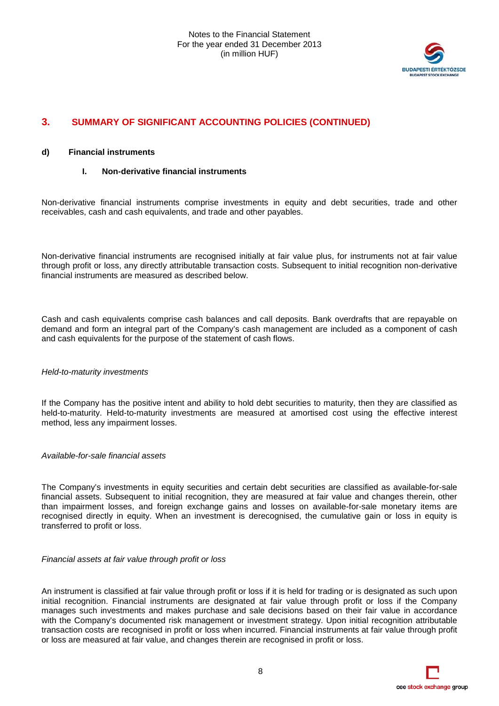

#### **d) Financial instruments**

#### **I. Non-derivative financial instruments**

Non-derivative financial instruments comprise investments in equity and debt securities, trade and other receivables, cash and cash equivalents, and trade and other payables.

Non-derivative financial instruments are recognised initially at fair value plus, for instruments not at fair value through profit or loss, any directly attributable transaction costs. Subsequent to initial recognition non-derivative financial instruments are measured as described below.

Cash and cash equivalents comprise cash balances and call deposits. Bank overdrafts that are repayable on demand and form an integral part of the Company's cash management are included as a component of cash and cash equivalents for the purpose of the statement of cash flows.

#### *Held-to-maturity investments*

If the Company has the positive intent and ability to hold debt securities to maturity, then they are classified as held-to-maturity. Held-to-maturity investments are measured at amortised cost using the effective interest method, less any impairment losses.

#### *Available-for-sale financial assets*

The Company's investments in equity securities and certain debt securities are classified as available-for-sale financial assets. Subsequent to initial recognition, they are measured at fair value and changes therein, other than impairment losses, and foreign exchange gains and losses on available-for-sale monetary items are recognised directly in equity. When an investment is derecognised, the cumulative gain or loss in equity is transferred to profit or loss.

*Financial assets at fair value through profit or loss*

An instrument is classified at fair value through profit or loss if it is held for trading or is designated as such upon initial recognition. Financial instruments are designated at fair value through profit or loss if the Company manages such investments and makes purchase and sale decisions based on their fair value in accordance with the Company's documented risk management or investment strategy. Upon initial recognition attributable transaction costs are recognised in profit or loss when incurred. Financial instruments at fair value through profit or loss are measured at fair value, and changes therein are recognised in profit or loss.

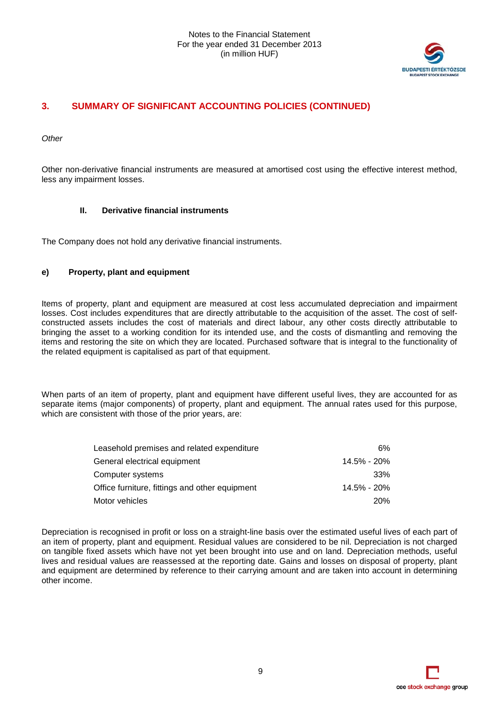

*Other*

Other non-derivative financial instruments are measured at amortised cost using the effective interest method, less any impairment losses.

#### **II. Derivative financial instruments**

The Company does not hold any derivative financial instruments.

#### **e) Property, plant and equipment**

Items of property, plant and equipment are measured at cost less accumulated depreciation and impairment losses. Cost includes expenditures that are directly attributable to the acquisition of the asset. The cost of selfconstructed assets includes the cost of materials and direct labour, any other costs directly attributable to bringing the asset to a working condition for its intended use, and the costs of dismantling and removing the items and restoring the site on which they are located. Purchased software that is integral to the functionality of the related equipment is capitalised as part of that equipment.

When parts of an item of property, plant and equipment have different useful lives, they are accounted for as separate items (major components) of property, plant and equipment. The annual rates used for this purpose, which are consistent with those of the prior years, are:

| Leasehold premises and related expenditure     | 6%          |
|------------------------------------------------|-------------|
| General electrical equipment                   | 14.5% - 20% |
| Computer systems                               | 33%         |
| Office furniture, fittings and other equipment | 14.5% - 20% |
| Motor vehicles                                 | 20%         |

Depreciation is recognised in profit or loss on a straight-line basis over the estimated useful lives of each part of an item of property, plant and equipment. Residual values are considered to be nil. Depreciation is not charged on tangible fixed assets which have not yet been brought into use and on land. Depreciation methods, useful lives and residual values are reassessed at the reporting date. Gains and losses on disposal of property, plant and equipment are determined by reference to their carrying amount and are taken into account in determining other income.

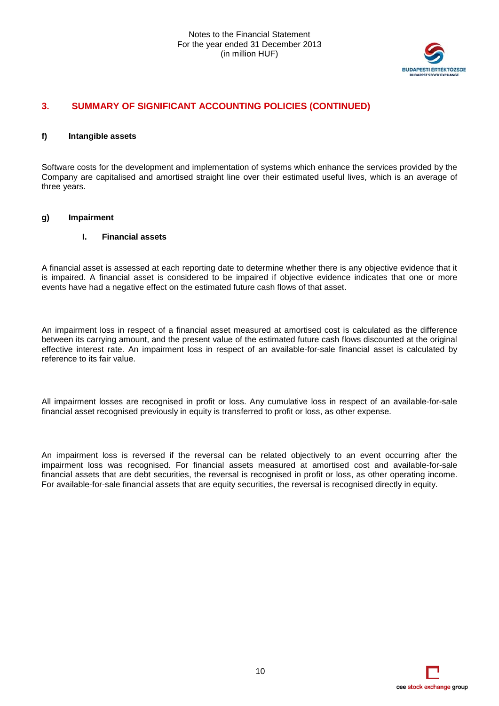

#### **f) Intangible assets**

Software costs for the development and implementation of systems which enhance the services provided by the Company are capitalised and amortised straight line over their estimated useful lives, which is an average of three years.

#### **g) Impairment**

#### **I. Financial assets**

A financial asset is assessed at each reporting date to determine whether there is any objective evidence that it is impaired. A financial asset is considered to be impaired if objective evidence indicates that one or more events have had a negative effect on the estimated future cash flows of that asset.

An impairment loss in respect of a financial asset measured at amortised cost is calculated as the difference between its carrying amount, and the present value of the estimated future cash flows discounted at the original effective interest rate. An impairment loss in respect of an available-for-sale financial asset is calculated by reference to its fair value.

All impairment losses are recognised in profit or loss. Any cumulative loss in respect of an available-for-sale financial asset recognised previously in equity is transferred to profit or loss, as other expense.

An impairment loss is reversed if the reversal can be related objectively to an event occurring after the impairment loss was recognised. For financial assets measured at amortised cost and available-for-sale financial assets that are debt securities, the reversal is recognised in profit or loss, as other operating income. For available-for-sale financial assets that are equity securities, the reversal is recognised directly in equity.

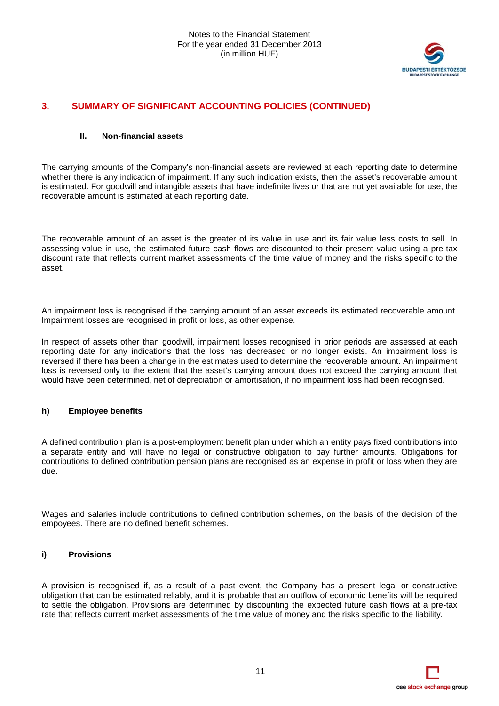

#### **II. Non-financial assets**

The carrying amounts of the Company's non-financial assets are reviewed at each reporting date to determine whether there is any indication of impairment. If any such indication exists, then the asset's recoverable amount is estimated. For goodwill and intangible assets that have indefinite lives or that are not yet available for use, the recoverable amount is estimated at each reporting date.

The recoverable amount of an asset is the greater of its value in use and its fair value less costs to sell. In assessing value in use, the estimated future cash flows are discounted to their present value using a pre-tax discount rate that reflects current market assessments of the time value of money and the risks specific to the asset.

An impairment loss is recognised if the carrying amount of an asset exceeds its estimated recoverable amount. Impairment losses are recognised in profit or loss, as other expense.

In respect of assets other than goodwill, impairment losses recognised in prior periods are assessed at each reporting date for any indications that the loss has decreased or no longer exists. An impairment loss is reversed if there has been a change in the estimates used to determine the recoverable amount. An impairment loss is reversed only to the extent that the asset's carrying amount does not exceed the carrying amount that would have been determined, net of depreciation or amortisation, if no impairment loss had been recognised.

#### **h) Employee benefits**

A defined contribution plan is a post-employment benefit plan under which an entity pays fixed contributions into a separate entity and will have no legal or constructive obligation to pay further amounts. Obligations for contributions to defined contribution pension plans are recognised as an expense in profit or loss when they are due.

Wages and salaries include contributions to defined contribution schemes, on the basis of the decision of the empoyees. There are no defined benefit schemes.

#### **i) Provisions**

A provision is recognised if, as a result of a past event, the Company has a present legal or constructive obligation that can be estimated reliably, and it is probable that an outflow of economic benefits will be required to settle the obligation. Provisions are determined by discounting the expected future cash flows at a pre-tax rate that reflects current market assessments of the time value of money and the risks specific to the liability.

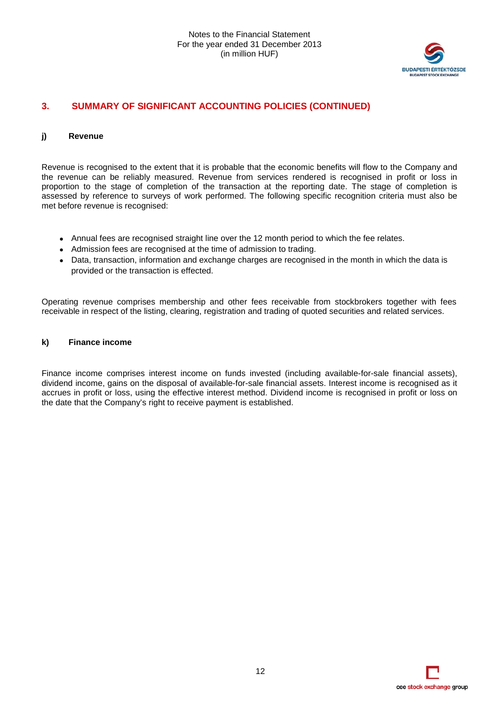

#### **j) Revenue**

Revenue is recognised to the extent that it is probable that the economic benefits will flow to the Company and the revenue can be reliably measured. Revenue from services rendered is recognised in profit or loss in proportion to the stage of completion of the transaction at the reporting date. The stage of completion is assessed by reference to surveys of work performed. The following specific recognition criteria must also be met before revenue is recognised:

- Annual fees are recognised straight line over the 12 month period to which the fee relates.
- Admission fees are recognised at the time of admission to trading.
- Data, transaction, information and exchange charges are recognised in the month in which the data is provided or the transaction is effected.

Operating revenue comprises membership and other fees receivable from stockbrokers together with fees receivable in respect of the listing, clearing, registration and trading of quoted securities and related services.

#### **k) Finance income**

Finance income comprises interest income on funds invested (including available-for-sale financial assets), dividend income, gains on the disposal of available-for-sale financial assets. Interest income is recognised as it accrues in profit or loss, using the effective interest method. Dividend income is recognised in profit or loss on the date that the Company's right to receive payment is established.

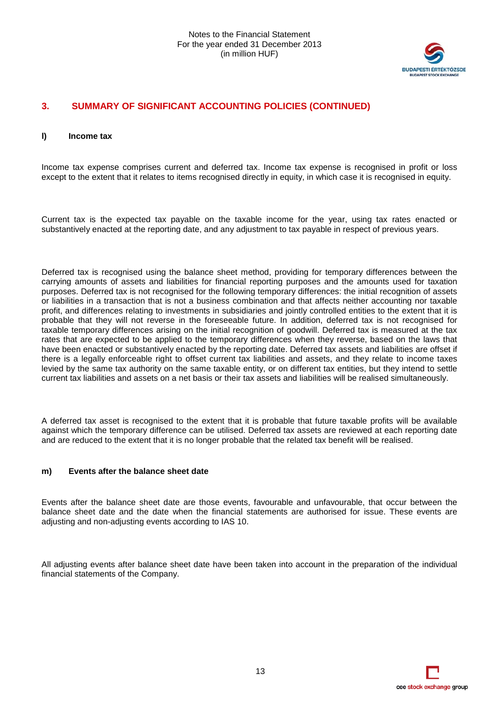

#### **l) Income tax**

Income tax expense comprises current and deferred tax. Income tax expense is recognised in profit or loss except to the extent that it relates to items recognised directly in equity, in which case it is recognised in equity.

Current tax is the expected tax payable on the taxable income for the year, using tax rates enacted or substantively enacted at the reporting date, and any adjustment to tax payable in respect of previous years.

Deferred tax is recognised using the balance sheet method, providing for temporary differences between the carrying amounts of assets and liabilities for financial reporting purposes and the amounts used for taxation purposes. Deferred tax is not recognised for the following temporary differences: the initial recognition of assets or liabilities in a transaction that is not a business combination and that affects neither accounting nor taxable profit, and differences relating to investments in subsidiaries and jointly controlled entities to the extent that it is probable that they will not reverse in the foreseeable future. In addition, deferred tax is not recognised for taxable temporary differences arising on the initial recognition of goodwill. Deferred tax is measured at the tax rates that are expected to be applied to the temporary differences when they reverse, based on the laws that have been enacted or substantively enacted by the reporting date. Deferred tax assets and liabilities are offset if there is a legally enforceable right to offset current tax liabilities and assets, and they relate to income taxes levied by the same tax authority on the same taxable entity, or on different tax entities, but they intend to settle current tax liabilities and assets on a net basis or their tax assets and liabilities will be realised simultaneously.

A deferred tax asset is recognised to the extent that it is probable that future taxable profits will be available against which the temporary difference can be utilised. Deferred tax assets are reviewed at each reporting date and are reduced to the extent that it is no longer probable that the related tax benefit will be realised.

#### **m) Events after the balance sheet date**

Events after the balance sheet date are those events, favourable and unfavourable, that occur between the balance sheet date and the date when the financial statements are authorised for issue. These events are adjusting and non-adjusting events according to IAS 10.

All adjusting events after balance sheet date have been taken into account in the preparation of the individual financial statements of the Company.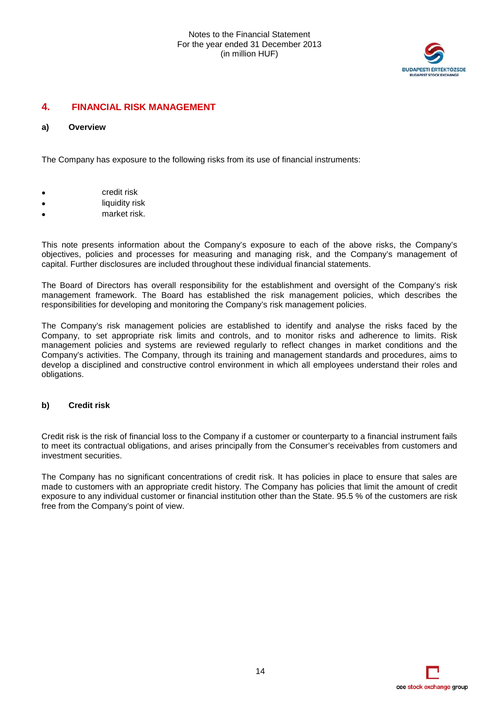

### **4. FINANCIAL RISK MANAGEMENT**

#### **a) Overview**

The Company has exposure to the following risks from its use of financial instruments:

- credit risk
- liquidity risk
- market risk.

This note presents information about the Company's exposure to each of the above risks, the Company's objectives, policies and processes for measuring and managing risk, and the Company's management of capital. Further disclosures are included throughout these individual financial statements.

The Board of Directors has overall responsibility for the establishment and oversight of the Company's risk management framework. The Board has established the risk management policies, which describes the responsibilities for developing and monitoring the Company's risk management policies.

The Company's risk management policies are established to identify and analyse the risks faced by the Company, to set appropriate risk limits and controls, and to monitor risks and adherence to limits. Risk management policies and systems are reviewed regularly to reflect changes in market conditions and the Company's activities. The Company, through its training and management standards and procedures, aims to develop a disciplined and constructive control environment in which all employees understand their roles and obligations.

#### **b) Credit risk**

Credit risk is the risk of financial loss to the Company if a customer or counterparty to a financial instrument fails to meet its contractual obligations, and arises principally from the Consumer's receivables from customers and investment securities.

The Company has no significant concentrations of credit risk. It has policies in place to ensure that sales are made to customers with an appropriate credit history. The Company has policies that limit the amount of credit exposure to any individual customer or financial institution other than the State. 95.5 % of the customers are risk free from the Company's point of view.

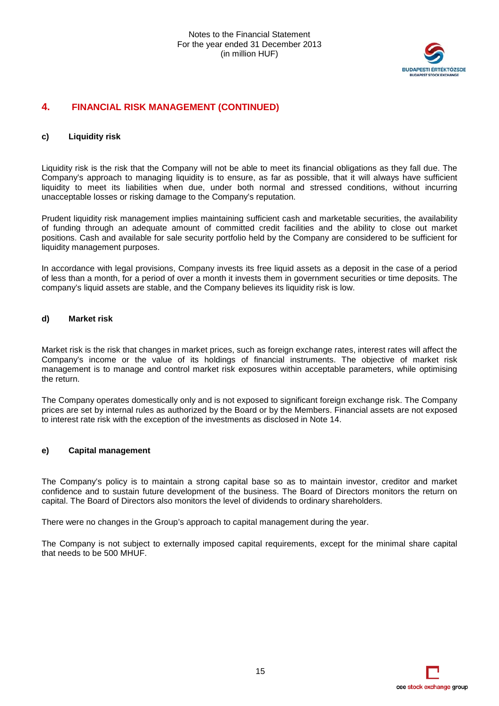

# **4. FINANCIAL RISK MANAGEMENT (CONTINUED)**

#### **c) Liquidity risk**

Liquidity risk is the risk that the Company will not be able to meet its financial obligations as they fall due. The Company's approach to managing liquidity is to ensure, as far as possible, that it will always have sufficient liquidity to meet its liabilities when due, under both normal and stressed conditions, without incurring unacceptable losses or risking damage to the Company's reputation.

Prudent liquidity risk management implies maintaining sufficient cash and marketable securities, the availability of funding through an adequate amount of committed credit facilities and the ability to close out market positions. Cash and available for sale security portfolio held by the Company are considered to be sufficient for liquidity management purposes.

In accordance with legal provisions, Company invests its free liquid assets as a deposit in the case of a period of less than a month, for a period of over a month it invests them in government securities or time deposits. The company's liquid assets are stable, and the Company believes its liquidity risk is low.

#### **d) Market risk**

Market risk is the risk that changes in market prices, such as foreign exchange rates, interest rates will affect the Company's income or the value of its holdings of financial instruments. The objective of market risk management is to manage and control market risk exposures within acceptable parameters, while optimising the return.

The Company operates domestically only and is not exposed to significant foreign exchange risk. The Company prices are set by internal rules as authorized by the Board or by the Members. Financial assets are not exposed to interest rate risk with the exception of the investments as disclosed in Note 14.

#### **e) Capital management**

The Company's policy is to maintain a strong capital base so as to maintain investor, creditor and market confidence and to sustain future development of the business. The Board of Directors monitors the return on capital. The Board of Directors also monitors the level of dividends to ordinary shareholders.

There were no changes in the Group's approach to capital management during the year.

The Company is not subject to externally imposed capital requirements, except for the minimal share capital that needs to be 500 MHUF.

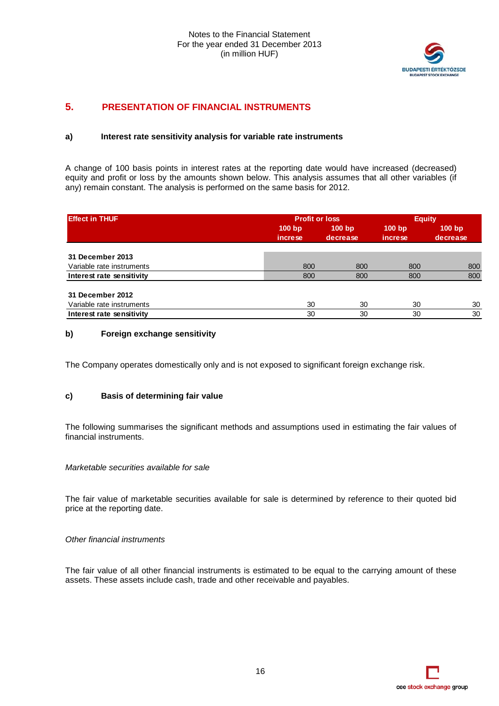

## **5. PRESENTATION OF FINANCIAL INSTRUMENTS**

#### **a) Interest rate sensitivity analysis for variable rate instruments**

A change of 100 basis points in interest rates at the reporting date would have increased (decreased) equity and profit or loss by the amounts shown below. This analysis assumes that all other variables (if any) remain constant. The analysis is performed on the same basis for 2012.

| <b>Effect in THUF</b>     | <b>Profit or loss</b>        |                               | <b>Equity</b>                |                                |
|---------------------------|------------------------------|-------------------------------|------------------------------|--------------------------------|
|                           | 100 <sub>bp</sub><br>increse | 100 <sub>bp</sub><br>decrease | 100 <sub>bp</sub><br>increse | 100 b <sub>p</sub><br>decrease |
| 31 December 2013          |                              |                               |                              |                                |
| Variable rate instruments | 800                          | 800                           | 800                          | 800                            |
| Interest rate sensitivity | 800                          | 800                           | 800                          | 800                            |
| 31 December 2012          |                              |                               |                              |                                |
| Variable rate instruments | 30                           | 30                            | 30                           | 30                             |
| Interest rate sensitivity | 30                           | 30                            | 30                           | 30                             |

#### **b) Foreign exchange sensitivity**

The Company operates domestically only and is not exposed to significant foreign exchange risk.

#### **c) Basis of determining fair value**

The following summarises the significant methods and assumptions used in estimating the fair values of financial instruments.

#### *Marketable securities available for sale*

The fair value of marketable securities available for sale is determined by reference to their quoted bid price at the reporting date.

#### *Other financial instruments*

The fair value of all other financial instruments is estimated to be equal to the carrying amount of these assets. These assets include cash, trade and other receivable and payables.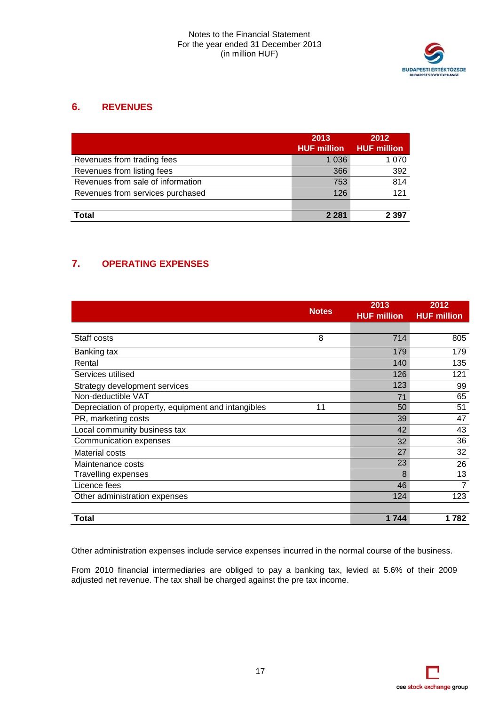

### **6. REVENUES**

|                                   | 2013<br><b>HUF million</b> | 2012<br><b>HUF million</b> |
|-----------------------------------|----------------------------|----------------------------|
| Revenues from trading fees        | 1 0 3 6                    | 1070                       |
| Revenues from listing fees        | 366                        | 392                        |
| Revenues from sale of information | 753                        | 814                        |
| Revenues from services purchased  | 126                        | 121                        |
|                                   |                            |                            |
| <b>Total</b>                      | 2 2 8 1                    | 2 3 9 7                    |

# **7. OPERATING EXPENSES**

|                                                     | <b>Notes</b> | 2013<br><b>HUF million</b> | 2012<br><b>HUF million</b> |
|-----------------------------------------------------|--------------|----------------------------|----------------------------|
|                                                     |              |                            |                            |
| Staff costs                                         | 8            | 714                        | 805                        |
| Banking tax                                         |              | 179                        | 179                        |
| Rental                                              |              | 140                        | 135                        |
| Services utilised                                   |              | 126                        | 121                        |
| Strategy development services                       |              | 123                        | 99                         |
| Non-deductible VAT                                  |              | 71                         | 65                         |
| Depreciation of property, equipment and intangibles | 11           | 50                         | 51                         |
| PR, marketing costs                                 |              | 39                         | 47                         |
| Local community business tax                        |              | 42                         | 43                         |
| Communication expenses                              |              | 32                         | 36                         |
| Material costs                                      |              | 27                         | 32                         |
| Maintenance costs                                   |              | 23                         | 26                         |
| Travelling expenses                                 |              | 8                          | 13                         |
| Licence fees                                        |              | 46                         | $\overline{7}$             |
| Other administration expenses                       |              | 124                        | 123                        |
|                                                     |              |                            |                            |
| <b>Total</b>                                        |              | 1744                       | 1782                       |

Other administration expenses include service expenses incurred in the normal course of the business.

From 2010 financial intermediaries are obliged to pay a banking tax, levied at 5.6% of their 2009 adjusted net revenue. The tax shall be charged against the pre tax income.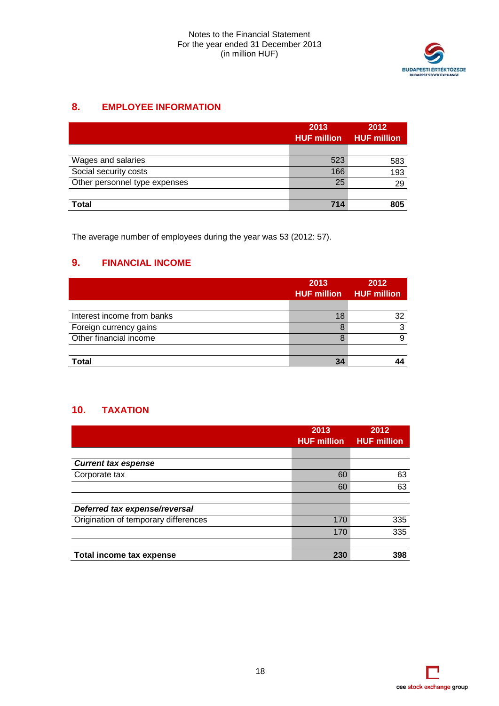

# **8. EMPLOYEE INFORMATION**

|                               | 2013<br><b>HUF million</b> | 2012<br><b>HUF million</b> |
|-------------------------------|----------------------------|----------------------------|
|                               |                            |                            |
| Wages and salaries            | 523                        | 583                        |
| Social security costs         | 166                        | 193                        |
| Other personnel type expenses | 25                         | 29                         |
|                               |                            |                            |
| <b>Total</b>                  | 714                        | 805                        |

The average number of employees during the year was 53 (2012: 57).

## **9. FINANCIAL INCOME**

|                            | 2013<br><b>HUF million</b> | 2012<br><b>HUF million</b> |
|----------------------------|----------------------------|----------------------------|
|                            |                            |                            |
| Interest income from banks | 18                         | 32                         |
| Foreign currency gains     |                            |                            |
| Other financial income     |                            |                            |
|                            |                            |                            |
| <b>Total</b>               | 34                         |                            |

# **10. TAXATION**

|                                      | 2013<br><b>HUF million</b> | 2012<br><b>HUF million</b> |
|--------------------------------------|----------------------------|----------------------------|
|                                      |                            |                            |
| <b>Current tax espense</b>           |                            |                            |
| Corporate tax                        | 60                         | 63                         |
|                                      | 60                         | 63                         |
|                                      |                            |                            |
| Deferred tax expense/reversal        |                            |                            |
| Origination of temporary differences | 170                        | 335                        |
|                                      | 170                        | 335                        |
|                                      |                            |                            |
| Total income tax expense             | 230                        | 398                        |

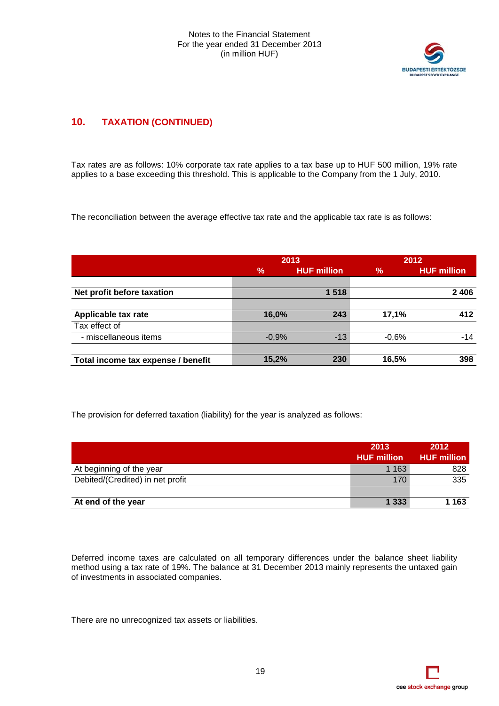

# **10. TAXATION (CONTINUED)**

Tax rates are as follows: 10% corporate tax rate applies to a tax base up to HUF 500 million, 19% rate applies to a base exceeding this threshold. This is applicable to the Company from the 1 July, 2010.

The reconciliation between the average effective tax rate and the applicable tax rate is as follows:

|                                    |                                     | 2013    |               | 2012               |  |
|------------------------------------|-------------------------------------|---------|---------------|--------------------|--|
|                                    | <b>HUF million</b><br>$\frac{9}{6}$ |         | $\frac{9}{6}$ | <b>HUF million</b> |  |
|                                    |                                     |         |               |                    |  |
| Net profit before taxation         |                                     | 1 5 1 8 |               | 2 4 0 6            |  |
|                                    |                                     |         |               |                    |  |
| Applicable tax rate                | 16,0%                               | 243     | 17,1%         | 412                |  |
| Tax effect of                      |                                     |         |               |                    |  |
| - miscellaneous items              | $-0,9%$                             | $-13$   | $-0,6%$       | -14                |  |
|                                    |                                     |         |               |                    |  |
| Total income tax expense / benefit | 15,2%                               | 230     | 16,5%         | 398                |  |

The provision for deferred taxation (liability) for the year is analyzed as follows:

|                                  | 2013<br><b>HUF million</b> | 2012<br><b>HUF million</b> |
|----------------------------------|----------------------------|----------------------------|
| At beginning of the year         | 1 1 6 3                    | 828                        |
| Debited/(Credited) in net profit | 170                        | 335                        |
|                                  |                            |                            |
| At end of the year               | 1 3 3 3                    | 1 1 6 3                    |

Deferred income taxes are calculated on all temporary differences under the balance sheet liability method using a tax rate of 19%. The balance at 31 December 2013 mainly represents the untaxed gain of investments in associated companies.

There are no unrecognized tax assets or liabilities.

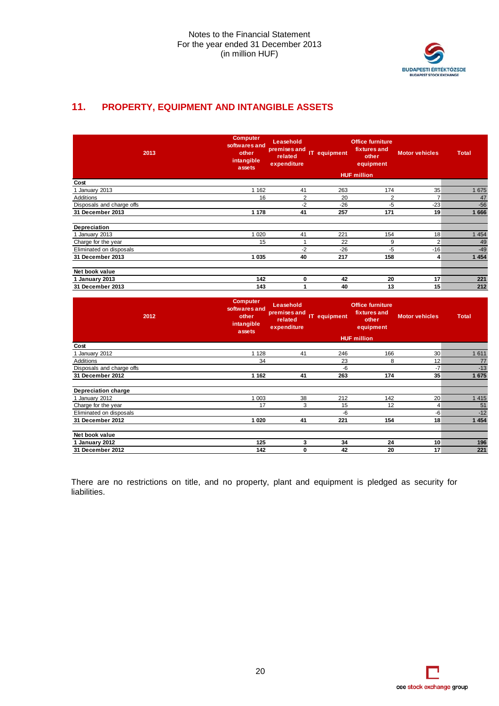

# **11. PROPERTY, EQUIPMENT AND INTANGIBLE ASSETS**

| 2013                      | <b>Computer</b><br>softwares and<br>other<br>intangible<br>assets | Leasehold<br>premises and<br>related<br>expenditure | <b>IT</b> equipment | <b>Office furniture</b><br>fixtures and<br>other<br>equipment | <b>Motor vehicles</b> | <b>Total</b> |
|---------------------------|-------------------------------------------------------------------|-----------------------------------------------------|---------------------|---------------------------------------------------------------|-----------------------|--------------|
|                           |                                                                   |                                                     |                     | <b>HUF million</b>                                            |                       |              |
| Cost                      |                                                                   |                                                     |                     |                                                               |                       |              |
| January 2013              | 1 1 6 2                                                           | 41                                                  | 263                 | 174                                                           | 35                    | 1 675        |
| Additions                 | 16                                                                | 2                                                   | 20                  | $\overline{2}$                                                | 7                     | 47           |
| Disposals and charge offs |                                                                   | $-2$                                                | $-26$               | $-5$                                                          | $-23$                 | $-56$        |
| 31 December 2013          | 1 1 7 8                                                           | 41                                                  | 257                 | 171                                                           | 19                    | 1 666        |
| Depreciation              |                                                                   |                                                     |                     |                                                               |                       |              |
| 1 January 2013            | 1 0 2 0                                                           | 41                                                  | 221                 | 154                                                           | 18                    | 1 4 5 4      |
| Charge for the year       | 15                                                                |                                                     | 22                  | 9                                                             | $\overline{2}$        | 49           |
| Eliminated on disposals   |                                                                   | $-2$                                                | $-26$               | $-5$                                                          | $-16$                 | $-49$        |
| 31 December 2013          | 1 0 3 5                                                           | 40                                                  | 217                 | 158                                                           | 4                     | 1 4 5 4      |
| Net book value            |                                                                   |                                                     |                     |                                                               |                       |              |
| 1 January 2013            | 142                                                               | 0                                                   | 42                  | 20                                                            | 17                    | 221          |
| 31 December 2013          | 143                                                               |                                                     | 40                  | 13                                                            | 15                    | 212          |
|                           |                                                                   |                                                     |                     |                                                               |                       |              |

| 2012                       | <b>Computer</b><br>softwares and<br>other<br>intangible<br>assets | Leasehold<br>premises and<br>related<br>expenditure | <b>IT equipment</b> | <b>Office furniture</b><br>fixtures and<br>other<br>equipment | <b>Motor vehicles</b> | <b>Total</b> |
|----------------------------|-------------------------------------------------------------------|-----------------------------------------------------|---------------------|---------------------------------------------------------------|-----------------------|--------------|
| Cost                       |                                                                   |                                                     |                     | <b>HUF million</b>                                            |                       |              |
| 1 January 2012             | 1 1 2 8                                                           | 41                                                  | 246                 | 166                                                           | 30                    | 1611         |
| Additions                  | 34                                                                |                                                     | 23                  | 8                                                             | 12                    | 77           |
| Disposals and charge offs  |                                                                   |                                                     | -6                  |                                                               | $-7$                  | $-13$        |
| 31 December 2012           | 1 1 6 2                                                           | 41                                                  | 263                 | 174                                                           | 35                    | 1 675        |
| <b>Depreciation charge</b> |                                                                   |                                                     |                     |                                                               |                       |              |
| 1 January 2012             | 1 0 0 3                                                           | 38                                                  | 212                 | 142                                                           | 20                    | 1 4 1 5      |
| Charge for the year        | 17                                                                | 3                                                   | 15                  | 12                                                            | 4                     | 51           |
| Eliminated on disposals    |                                                                   |                                                     | -6                  |                                                               | -6                    | $-12$        |
| 31 December 2012           | 1 0 2 0                                                           | 41                                                  | 221                 | 154                                                           | 18                    | 1 4 5 4      |
| Net book value             |                                                                   |                                                     |                     |                                                               |                       |              |
| 1 January 2012             | 125                                                               | 3                                                   | 34                  | 24                                                            | 10                    | 196          |
| 31 December 2012           | 142                                                               | 0                                                   | 42                  | 20                                                            | 17                    | 221          |

There are no restrictions on title, and no property, plant and equipment is pledged as security for liabilities.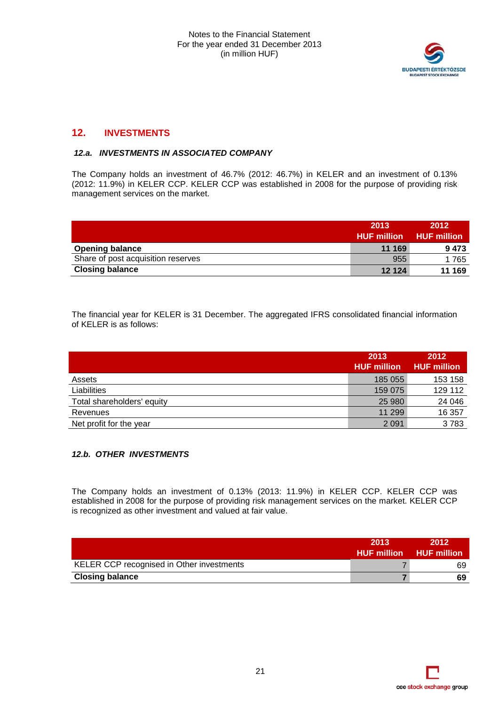

### **12. INVESTMENTS**

#### *12.a. INVESTMENTS IN ASSOCIATED COMPANY*

The Company holds an investment of 46.7% (2012: 46.7%) in KELER and an investment of 0.13% (2012: 11.9%) in KELER CCP. KELER CCP was established in 2008 for the purpose of providing risk management services on the market.

|                                    | 2013<br><b>HUF million</b> HUF million | 2012   |
|------------------------------------|----------------------------------------|--------|
| <b>Opening balance</b>             | 11 169                                 | 9473   |
| Share of post acquisition reserves | 955                                    | 1765   |
| <b>Closing balance</b>             | 12 1 24                                | 11 169 |

The financial year for KELER is 31 December. The aggregated IFRS consolidated financial information of KELER is as follows:

|                            | 2013               | 2012               |
|----------------------------|--------------------|--------------------|
|                            | <b>HUF million</b> | <b>HUF million</b> |
| Assets                     | 185 055            | 153 158            |
| Liabilities                | 159 075            | 129 112            |
| Total shareholders' equity | 25 980             | 24 046             |
| Revenues                   | 11 299             | 16 357             |
| Net profit for the year    | 2 0 9 1            | 3783               |

#### *12.b. OTHER INVESTMENTS*

The Company holds an investment of 0.13% (2013: 11.9%) in KELER CCP. KELER CCP was established in 2008 for the purpose of providing risk management services on the market. KELER CCP is recognized as other investment and valued at fair value.

|                                           | 2013<br><b>HUF million HUF million</b> | 2012 |
|-------------------------------------------|----------------------------------------|------|
| KELER CCP recognised in Other investments |                                        |      |
| <b>Closing balance</b>                    |                                        |      |

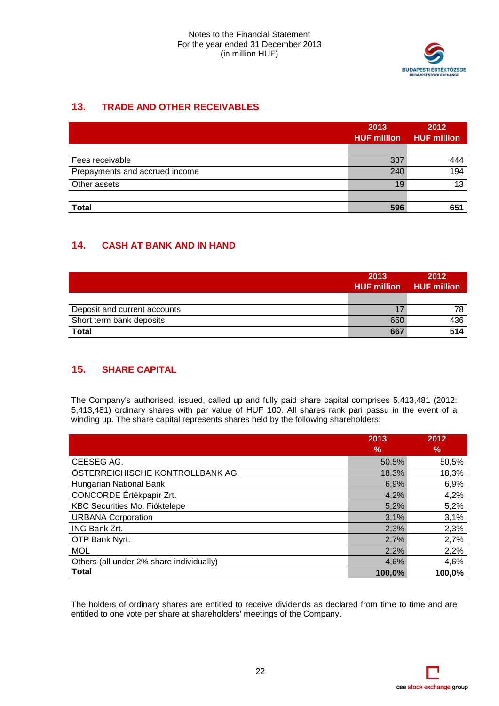

# **13. TRADE AND OTHER RECEIVABLES**

|                                | 2013<br><b>HUF million HUF million</b> | 2012 |
|--------------------------------|----------------------------------------|------|
|                                |                                        |      |
| Fees receivable                | 337                                    | 444  |
| Prepayments and accrued income | 240                                    | 194  |
| Other assets                   | 19                                     | 13   |
|                                |                                        |      |
| <b>Total</b>                   | 596                                    | 651  |

# **14. CASH AT BANK AND IN HAND**

|                              | 2013<br><b>HUF million</b> HUF million | 2012 |
|------------------------------|----------------------------------------|------|
|                              |                                        |      |
| Deposit and current accounts |                                        | 78   |
| Short term bank deposits     | 650                                    | 436  |
| <b>Total</b>                 | 667                                    | 514  |

# **15. SHARE CAPITAL**

The Company's authorised, issued, called up and fully paid share capital comprises 5,413,481 (2012: 5,413,481) ordinary shares with par value of HUF 100. All shares rank pari passu in the event of a winding up. The share capital represents shares held by the following shareholders:

|                                          | 2013<br>% | 2012<br>℅ |
|------------------------------------------|-----------|-----------|
| CEESEG AG.                               | 50,5%     | 50,5%     |
| ÖSTERREICHISCHE KONTROLLBANK AG.         | 18,3%     | 18,3%     |
| Hungarian National Bank                  | 6,9%      | 6,9%      |
| CONCORDE Értékpapír Zrt.                 | 4,2%      | 4,2%      |
| KBC Securities Mo. Fióktelepe            | 5,2%      | 5,2%      |
| <b>URBANA Corporation</b>                | 3,1%      | 3,1%      |
| ING Bank Zrt.                            | 2,3%      | 2,3%      |
| OTP Bank Nyrt.                           | 2,7%      | 2,7%      |
| <b>MOL</b>                               | 2,2%      | 2,2%      |
| Others (all under 2% share individually) | 4,6%      | 4,6%      |
| <b>Total</b>                             | 100,0%    | 100,0%    |

The holders of ordinary shares are entitled to receive dividends as declared from time to time and are entitled to one vote per share at shareholders' meetings of the Company.

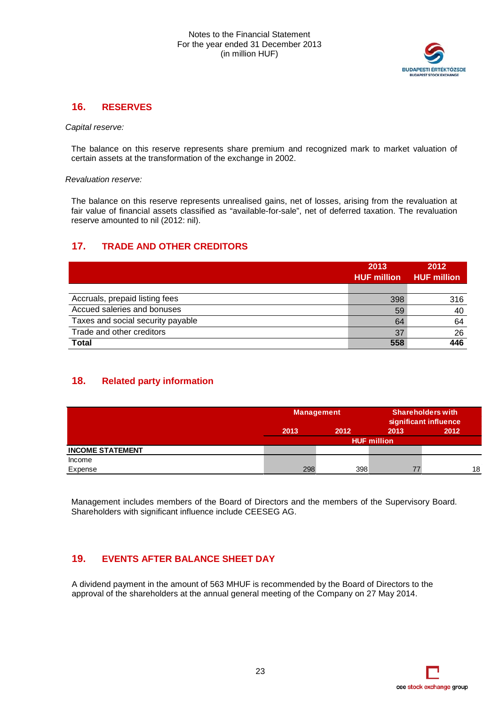

### **16. RESERVES**

#### *Capital reserve:*

The balance on this reserve represents share premium and recognized mark to market valuation of certain assets at the transformation of the exchange in 2002.

#### *Revaluation reserve:*

The balance on this reserve represents unrealised gains, net of losses, arising from the revaluation at fair value of financial assets classified as "available-for-sale", net of deferred taxation. The revaluation reserve amounted to nil (2012: nil).

### **17. TRADE AND OTHER CREDITORS**

|                                   | 2013<br><b>HUF million HUF million</b> | 2012 |
|-----------------------------------|----------------------------------------|------|
|                                   |                                        |      |
| Accruals, prepaid listing fees    | 398                                    | 316  |
| Accued saleries and bonuses       | 59                                     | 40   |
| Taxes and social security payable | 64                                     | 64   |
| Trade and other creditors         | 37                                     | 26   |
| <b>Total</b>                      | 558                                    | 446  |

### **18. Related party information**

|                         | <b>Management</b>  |      |      | <b>Shareholders with</b><br>significant influence |
|-------------------------|--------------------|------|------|---------------------------------------------------|
|                         | 2013               | 2012 | 2013 | 2012                                              |
|                         | <b>HUF million</b> |      |      |                                                   |
| <b>INCOME STATEMENT</b> |                    |      |      |                                                   |
| Income                  |                    |      |      |                                                   |
| Expense                 | 298                | 398  |      | 18                                                |

Management includes members of the Board of Directors and the members of the Supervisory Board. Shareholders with significant influence include CEESEG AG.

### **19. EVENTS AFTER BALANCE SHEET DAY**

A dividend payment in the amount of 563 MHUF is recommended by the Board of Directors to the approval of the shareholders at the annual general meeting of the Company on 27 May 2014.